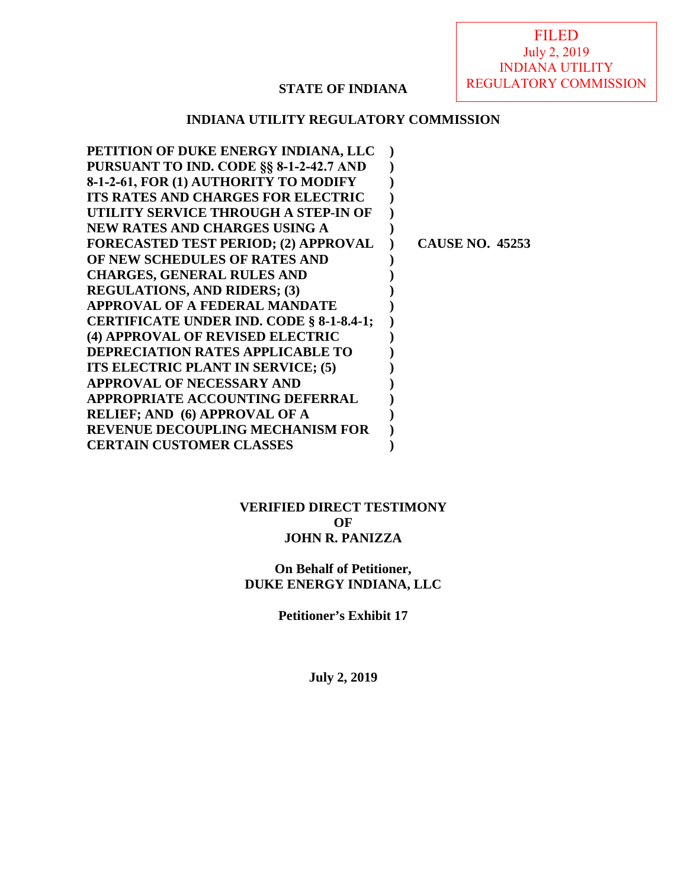## **STATE OF INDIANA**

## **INDIANA UTILITY REGULATORY COMMISSION**

| PETITION OF DUKE ENERGY INDIANA, LLC        |                        |
|---------------------------------------------|------------------------|
| PURSUANT TO IND. CODE §§ 8-1-2-42.7 AND     |                        |
| 8-1-2-61, FOR (1) AUTHORITY TO MODIFY       |                        |
| <b>ITS RATES AND CHARGES FOR ELECTRIC</b>   |                        |
| UTILITY SERVICE THROUGH A STEP-IN OF        |                        |
| NEW RATES AND CHARGES USING A               |                        |
| <b>FORECASTED TEST PERIOD; (2) APPROVAL</b> | <b>CAUSE NO. 45253</b> |
| OF NEW SCHEDULES OF RATES AND               |                        |
| <b>CHARGES, GENERAL RULES AND</b>           |                        |
| <b>REGULATIONS, AND RIDERS; (3)</b>         |                        |
| <b>APPROVAL OF A FEDERAL MANDATE</b>        |                        |
| CERTIFICATE UNDER IND. CODE § 8-1-8.4-1;    |                        |
| (4) APPROVAL OF REVISED ELECTRIC            |                        |
| <b>DEPRECIATION RATES APPLICABLE TO</b>     |                        |
| ITS ELECTRIC PLANT IN SERVICE; (5)          |                        |
| APPROVAL OF NECESSARY AND                   |                        |
| <b>APPROPRIATE ACCOUNTING DEFERRAL</b>      |                        |
| <b>RELIEF; AND (6) APPROVAL OF A</b>        |                        |
| <b>REVENUE DECOUPLING MECHANISM FOR</b>     |                        |
| <b>CERTAIN CUSTOMER CLASSES</b>             |                        |
|                                             |                        |

### **VERIFIED DIRECT TESTIMONY OF JOHN R. PANIZZA**

## **On Behalf of Petitioner, DUKE ENERGY INDIANA, LLC**

**Petitioner's Exhibit 17** 

**July 2, 2019**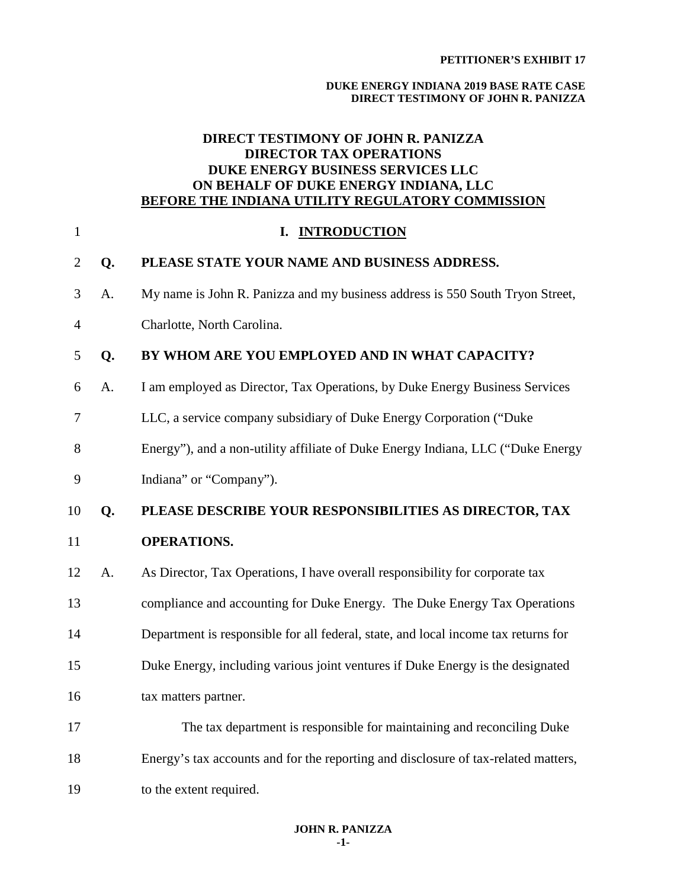#### **PETITIONER'S EXHIBIT 17**

#### **DUKE ENERGY INDIANA 2019 BASE RATE CASE DIRECT TESTIMONY OF JOHN R. PANIZZA**

## **DIRECT TESTIMONY OF JOHN R. PANIZZA DIRECTOR TAX OPERATIONS DUKE ENERGY BUSINESS SERVICES LLC ON BEHALF OF DUKE ENERGY INDIANA, LLC BEFORE THE INDIANA UTILITY REGULATORY COMMISSION**

| $\mathbf{1}$   |    | I. INTRODUCTION                                                                    |
|----------------|----|------------------------------------------------------------------------------------|
| $\overline{2}$ | Q. | PLEASE STATE YOUR NAME AND BUSINESS ADDRESS.                                       |
| 3              | A. | My name is John R. Panizza and my business address is 550 South Tryon Street,      |
| $\overline{4}$ |    | Charlotte, North Carolina.                                                         |
| 5              | Q. | BY WHOM ARE YOU EMPLOYED AND IN WHAT CAPACITY?                                     |
| 6              | A. | I am employed as Director, Tax Operations, by Duke Energy Business Services        |
| $\overline{7}$ |    | LLC, a service company subsidiary of Duke Energy Corporation ("Duke                |
| 8              |    | Energy"), and a non-utility affiliate of Duke Energy Indiana, LLC ("Duke Energy    |
| 9              |    | Indiana" or "Company").                                                            |
| 10             | Q. | PLEASE DESCRIBE YOUR RESPONSIBILITIES AS DIRECTOR, TAX                             |
| 11             |    | <b>OPERATIONS.</b>                                                                 |
| 12             | A. | As Director, Tax Operations, I have overall responsibility for corporate tax       |
| 13             |    | compliance and accounting for Duke Energy. The Duke Energy Tax Operations          |
| 14             |    | Department is responsible for all federal, state, and local income tax returns for |
| 15             |    | Duke Energy, including various joint ventures if Duke Energy is the designated     |
| 16             |    | tax matters partner.                                                               |
| 17             |    | The tax department is responsible for maintaining and reconciling Duke             |
| 18             |    | Energy's tax accounts and for the reporting and disclosure of tax-related matters, |
| 19             |    | to the extent required.                                                            |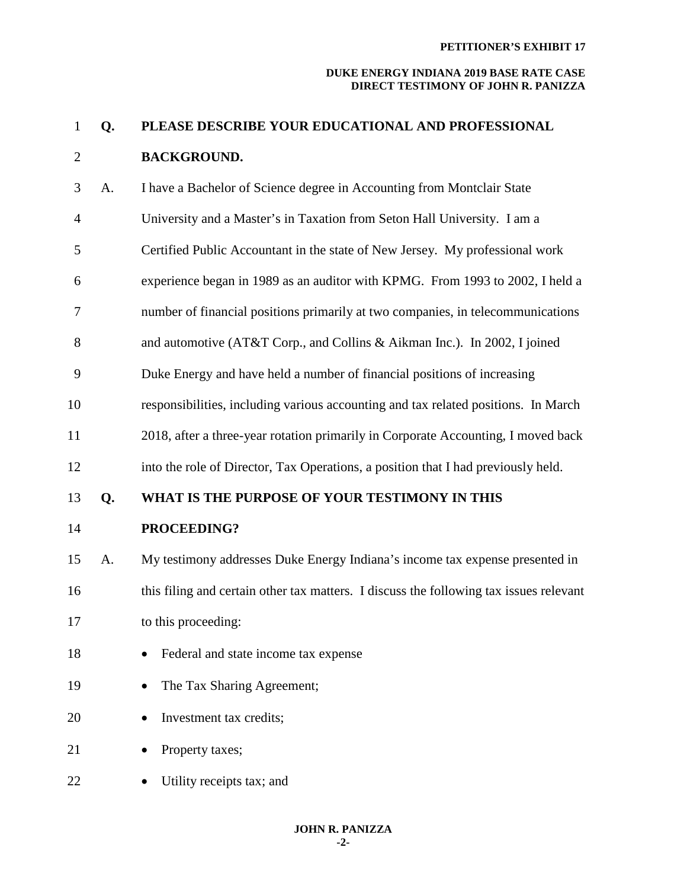| $\mathbf{1}$   | Q. | PLEASE DESCRIBE YOUR EDUCATIONAL AND PROFESSIONAL                                      |
|----------------|----|----------------------------------------------------------------------------------------|
| $\overline{2}$ |    | <b>BACKGROUND.</b>                                                                     |
| 3              | A. | I have a Bachelor of Science degree in Accounting from Montclair State                 |
| $\overline{4}$ |    | University and a Master's in Taxation from Seton Hall University. I am a               |
| 5              |    | Certified Public Accountant in the state of New Jersey. My professional work           |
| 6              |    | experience began in 1989 as an auditor with KPMG. From 1993 to 2002, I held a          |
| 7              |    | number of financial positions primarily at two companies, in telecommunications        |
| 8              |    | and automotive (AT&T Corp., and Collins & Aikman Inc.). In 2002, I joined              |
| 9              |    | Duke Energy and have held a number of financial positions of increasing                |
| 10             |    | responsibilities, including various accounting and tax related positions. In March     |
| 11             |    | 2018, after a three-year rotation primarily in Corporate Accounting, I moved back      |
| 12             |    | into the role of Director, Tax Operations, a position that I had previously held.      |
| 13             | Q. | WHAT IS THE PURPOSE OF YOUR TESTIMONY IN THIS                                          |
| 14             |    | PROCEEDING?                                                                            |
| 15             | A. | My testimony addresses Duke Energy Indiana's income tax expense presented in           |
| 16             |    | this filing and certain other tax matters. I discuss the following tax issues relevant |
| 17             |    | to this proceeding:                                                                    |
| 18             |    | Federal and state income tax expense                                                   |
| 19             |    | The Tax Sharing Agreement;                                                             |
| 20             |    | Investment tax credits;                                                                |
| 21             |    | Property taxes;                                                                        |
| 22             |    | Utility receipts tax; and                                                              |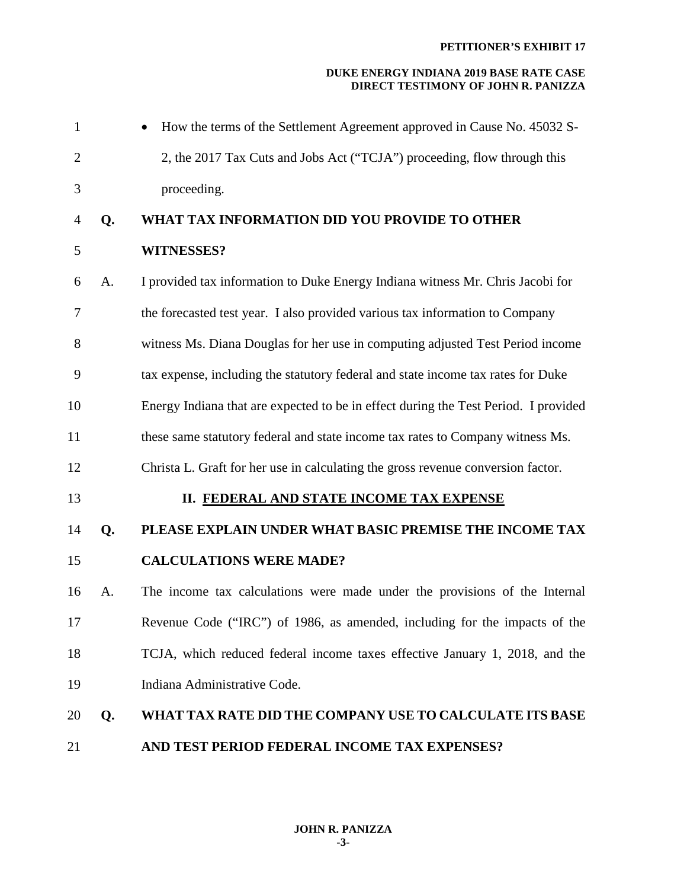| $\mathbf{1}$   |    | How the terms of the Settlement Agreement approved in Cause No. 45032 S-            |
|----------------|----|-------------------------------------------------------------------------------------|
| $\overline{2}$ |    | 2, the 2017 Tax Cuts and Jobs Act ("TCJA") proceeding, flow through this            |
| 3              |    | proceeding.                                                                         |
| $\overline{4}$ | Q. | WHAT TAX INFORMATION DID YOU PROVIDE TO OTHER                                       |
| 5              |    | <b>WITNESSES?</b>                                                                   |
| 6              | A. | I provided tax information to Duke Energy Indiana witness Mr. Chris Jacobi for      |
| 7              |    | the forecasted test year. I also provided various tax information to Company        |
| 8              |    | witness Ms. Diana Douglas for her use in computing adjusted Test Period income      |
| 9              |    | tax expense, including the statutory federal and state income tax rates for Duke    |
| 10             |    | Energy Indiana that are expected to be in effect during the Test Period. I provided |
| 11             |    | these same statutory federal and state income tax rates to Company witness Ms.      |
| 12             |    | Christa L. Graft for her use in calculating the gross revenue conversion factor.    |
| 13             |    | II. FEDERAL AND STATE INCOME TAX EXPENSE                                            |
| 14             | Q. | PLEASE EXPLAIN UNDER WHAT BASIC PREMISE THE INCOME TAX                              |
| 15             |    | <b>CALCULATIONS WERE MADE?</b>                                                      |
| 16             | A. | The income tax calculations were made under the provisions of the Internal          |
| 17             |    | Revenue Code ("IRC") of 1986, as amended, including for the impacts of the          |
| 18             |    | TCJA, which reduced federal income taxes effective January 1, 2018, and the         |
| 19             |    | Indiana Administrative Code.                                                        |
| 20             | Q. | WHAT TAX RATE DID THE COMPANY USE TO CALCULATE ITS BASE                             |
| 21             |    | AND TEST PERIOD FEDERAL INCOME TAX EXPENSES?                                        |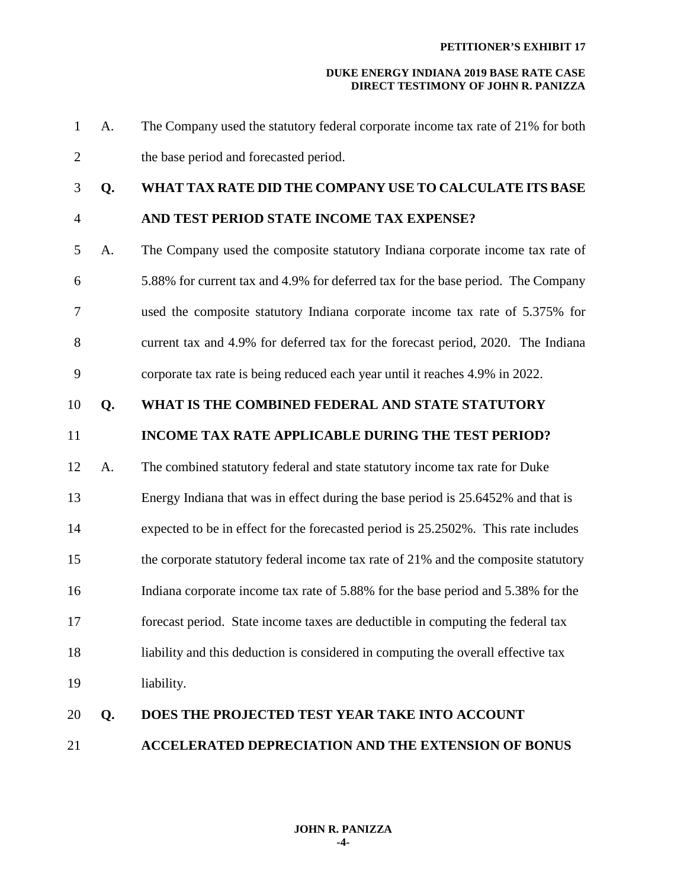- 1 A. The Company used the statutory federal corporate income tax rate of 21% for both 2 the base period and forecasted period.
- 

## 3 **Q. WHAT TAX RATE DID THE COMPANY USE TO CALCULATE ITS BASE**

- 4 **AND TEST PERIOD STATE INCOME TAX EXPENSE?**
- 5 A. The Company used the composite statutory Indiana corporate income tax rate of 6 5.88% for current tax and 4.9% for deferred tax for the base period. The Company 7 used the composite statutory Indiana corporate income tax rate of 5.375% for 8 current tax and 4.9% for deferred tax for the forecast period, 2020. The Indiana 9 corporate tax rate is being reduced each year until it reaches 4.9% in 2022.

## 10 **Q. WHAT IS THE COMBINED FEDERAL AND STATE STATUTORY**

## 11 **INCOME TAX RATE APPLICABLE DURING THE TEST PERIOD?**

- 12 A. The combined statutory federal and state statutory income tax rate for Duke
- 13 Energy Indiana that was in effect during the base period is 25.6452% and that is 14 expected to be in effect for the forecasted period is 25.2502%. This rate includes
- 15 the corporate statutory federal income tax rate of 21% and the composite statutory
- 
- 16 Indiana corporate income tax rate of 5.88% for the base period and 5.38% for the 17 forecast period. State income taxes are deductible in computing the federal tax
- 18 liability and this deduction is considered in computing the overall effective tax 19 liability.
- 

## 20 **Q. DOES THE PROJECTED TEST YEAR TAKE INTO ACCOUNT**  21 **ACCELERATED DEPRECIATION AND THE EXTENSION OF BONUS**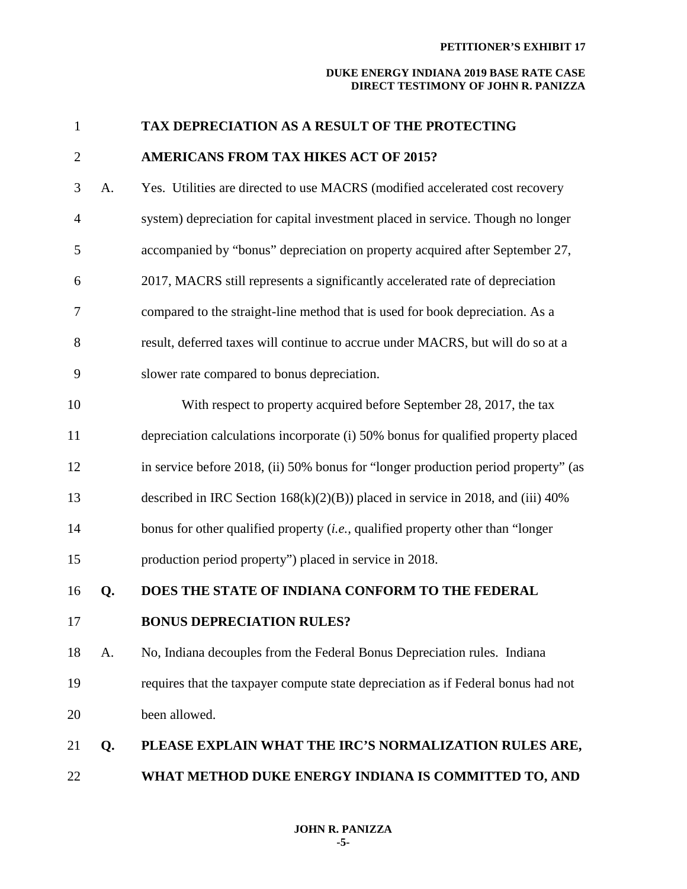| $\mathbf{1}$ |    | TAX DEPRECIATION AS A RESULT OF THE PROTECTING                                     |
|--------------|----|------------------------------------------------------------------------------------|
| $\mathbf{2}$ |    | <b>AMERICANS FROM TAX HIKES ACT OF 2015?</b>                                       |
| 3            | A. | Yes. Utilities are directed to use MACRS (modified accelerated cost recovery       |
| 4            |    | system) depreciation for capital investment placed in service. Though no longer    |
| 5            |    | accompanied by "bonus" depreciation on property acquired after September 27,       |
| 6            |    | 2017, MACRS still represents a significantly accelerated rate of depreciation      |
| 7            |    | compared to the straight-line method that is used for book depreciation. As a      |
| 8            |    | result, deferred taxes will continue to accrue under MACRS, but will do so at a    |
| 9            |    | slower rate compared to bonus depreciation.                                        |
| 10           |    | With respect to property acquired before September 28, 2017, the tax               |
| 11           |    | depreciation calculations incorporate (i) 50% bonus for qualified property placed  |
| 12           |    | in service before 2018, (ii) 50% bonus for "longer production period property" (as |
| 13           |    | described in IRC Section $168(k)(2)(B)$ placed in service in 2018, and (iii) 40%   |
| 14           |    | bonus for other qualified property $(i.e.,$ qualified property other than "longer" |
| 15           |    | production period property") placed in service in 2018.                            |
| 16           | Q. | DOES THE STATE OF INDIANA CONFORM TO THE FEDERAL                                   |
| 17           |    | <b>BONUS DEPRECIATION RULES?</b>                                                   |
| 18           | A. | No, Indiana decouples from the Federal Bonus Depreciation rules. Indiana           |
| 19           |    | requires that the taxpayer compute state depreciation as if Federal bonus had not  |
| 20           |    | been allowed.                                                                      |
| 21           | Q. | PLEASE EXPLAIN WHAT THE IRC'S NORMALIZATION RULES ARE,                             |
| 22           |    | WHAT METHOD DUKE ENERGY INDIANA IS COMMITTED TO, AND                               |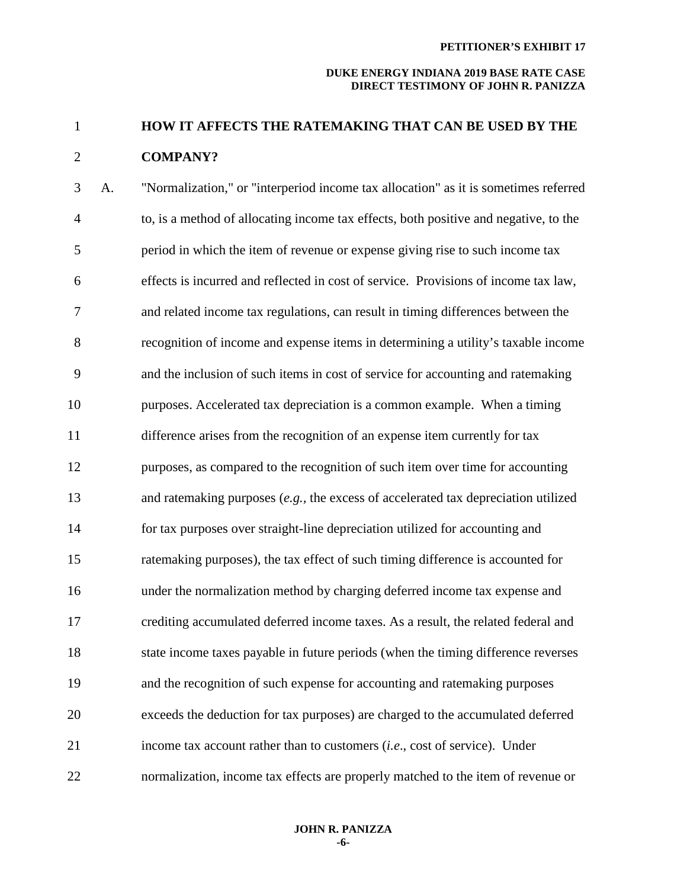# 1 **HOW IT AFFECTS THE RATEMAKING THAT CAN BE USED BY THE**  2 **COMPANY?**

3 A. "Normalization," or "interperiod income tax allocation" as it is sometimes referred 4 to, is a method of allocating income tax effects, both positive and negative, to the 5 period in which the item of revenue or expense giving rise to such income tax 6 effects is incurred and reflected in cost of service. Provisions of income tax law, 7 and related income tax regulations, can result in timing differences between the 8 recognition of income and expense items in determining a utility's taxable income 9 and the inclusion of such items in cost of service for accounting and ratemaking 10 purposes. Accelerated tax depreciation is a common example. When a timing 11 difference arises from the recognition of an expense item currently for tax 12 purposes, as compared to the recognition of such item over time for accounting 13 and ratemaking purposes (*e.g.,* the excess of accelerated tax depreciation utilized 14 for tax purposes over straight-line depreciation utilized for accounting and 15 ratemaking purposes), the tax effect of such timing difference is accounted for 16 under the normalization method by charging deferred income tax expense and 17 crediting accumulated deferred income taxes. As a result, the related federal and 18 state income taxes payable in future periods (when the timing difference reverses 19 and the recognition of such expense for accounting and ratemaking purposes 20 exceeds the deduction for tax purposes) are charged to the accumulated deferred 21 income tax account rather than to customers (*i.e*., cost of service). Under 22 normalization, income tax effects are properly matched to the item of revenue or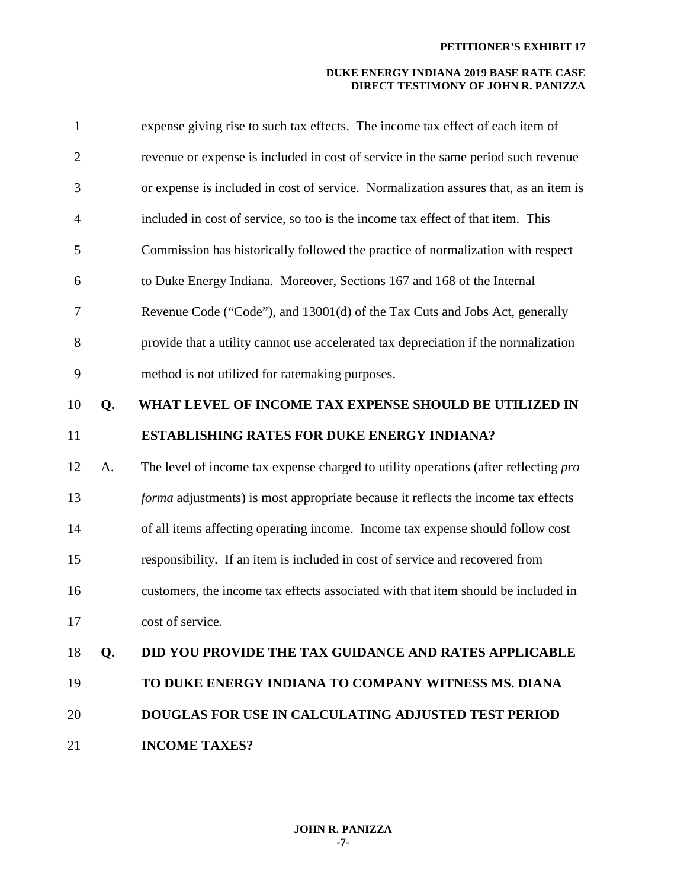| $\mathbf{1}$   |    | expense giving rise to such tax effects. The income tax effect of each item of       |
|----------------|----|--------------------------------------------------------------------------------------|
| $\overline{2}$ |    | revenue or expense is included in cost of service in the same period such revenue    |
| 3              |    | or expense is included in cost of service. Normalization assures that, as an item is |
| $\overline{4}$ |    | included in cost of service, so too is the income tax effect of that item. This      |
| 5              |    | Commission has historically followed the practice of normalization with respect      |
| 6              |    | to Duke Energy Indiana. Moreover, Sections 167 and 168 of the Internal               |
| 7              |    | Revenue Code ("Code"), and 13001(d) of the Tax Cuts and Jobs Act, generally          |
| 8              |    | provide that a utility cannot use accelerated tax depreciation if the normalization  |
| 9              |    | method is not utilized for ratemaking purposes.                                      |
| 10             | Q. | WHAT LEVEL OF INCOME TAX EXPENSE SHOULD BE UTILIZED IN                               |
| 11             |    | <b>ESTABLISHING RATES FOR DUKE ENERGY INDIANA?</b>                                   |
| 12             | A. | The level of income tax expense charged to utility operations (after reflecting pro  |
| 13             |    | forma adjustments) is most appropriate because it reflects the income tax effects    |
| 14             |    | of all items affecting operating income. Income tax expense should follow cost       |
| 15             |    | responsibility. If an item is included in cost of service and recovered from         |
| 16             |    | customers, the income tax effects associated with that item should be included in    |
| 17             |    | cost of service.                                                                     |
| 18             | Q. | <b>DID YOU PROVIDE THE TAX GUIDANCE AND RATES APPLICABLE</b>                         |
| 19             |    | TO DUKE ENERGY INDIANA TO COMPANY WITNESS MS. DIANA                                  |
| 20             |    | DOUGLAS FOR USE IN CALCULATING ADJUSTED TEST PERIOD                                  |
| 21             |    | <b>INCOME TAXES?</b>                                                                 |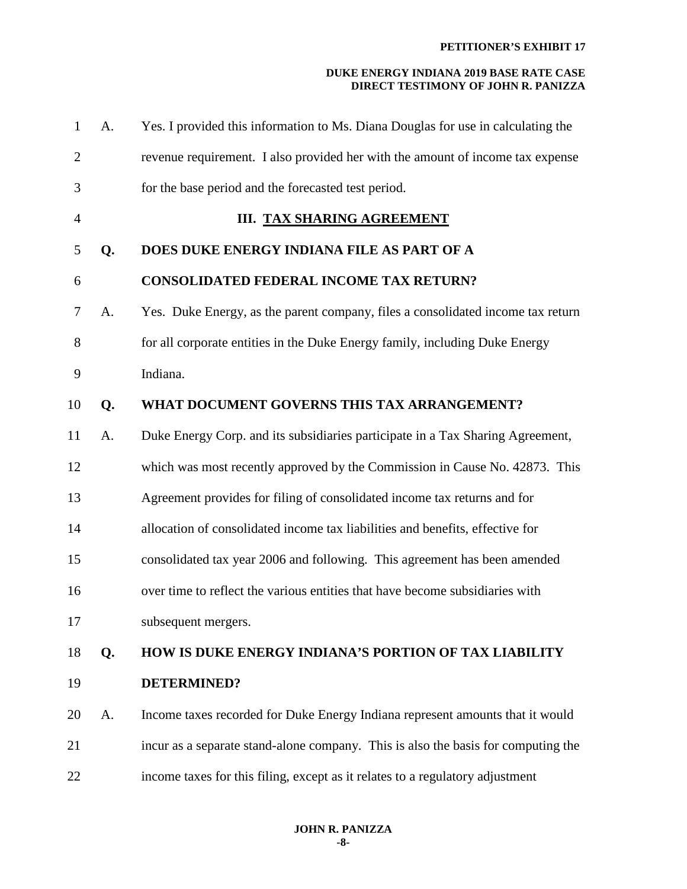| $\mathbf{1}$   | A. | Yes. I provided this information to Ms. Diana Douglas for use in calculating the  |
|----------------|----|-----------------------------------------------------------------------------------|
| $\overline{2}$ |    | revenue requirement. I also provided her with the amount of income tax expense    |
| 3              |    | for the base period and the forecasted test period.                               |
| $\overline{4}$ |    | <b>III. TAX SHARING AGREEMENT</b>                                                 |
| 5              | Q. | DOES DUKE ENERGY INDIANA FILE AS PART OF A                                        |
| 6              |    | <b>CONSOLIDATED FEDERAL INCOME TAX RETURN?</b>                                    |
| 7              | A. | Yes. Duke Energy, as the parent company, files a consolidated income tax return   |
| 8              |    | for all corporate entities in the Duke Energy family, including Duke Energy       |
| 9              |    | Indiana.                                                                          |
| 10             | Q. | WHAT DOCUMENT GOVERNS THIS TAX ARRANGEMENT?                                       |
| 11             | A. | Duke Energy Corp. and its subsidiaries participate in a Tax Sharing Agreement,    |
| 12             |    | which was most recently approved by the Commission in Cause No. 42873. This       |
| 13             |    | Agreement provides for filing of consolidated income tax returns and for          |
| 14             |    | allocation of consolidated income tax liabilities and benefits, effective for     |
| 15             |    | consolidated tax year 2006 and following. This agreement has been amended         |
| 16             |    | over time to reflect the various entities that have become subsidiaries with      |
| 17             |    | subsequent mergers.                                                               |
| 18             | Q. | <b>HOW IS DUKE ENERGY INDIANA'S PORTION OF TAX LIABILITY</b>                      |
| 19             |    | <b>DETERMINED?</b>                                                                |
| 20             | A. | Income taxes recorded for Duke Energy Indiana represent amounts that it would     |
| 21             |    | incur as a separate stand-alone company. This is also the basis for computing the |
| 22             |    | income taxes for this filing, except as it relates to a regulatory adjustment     |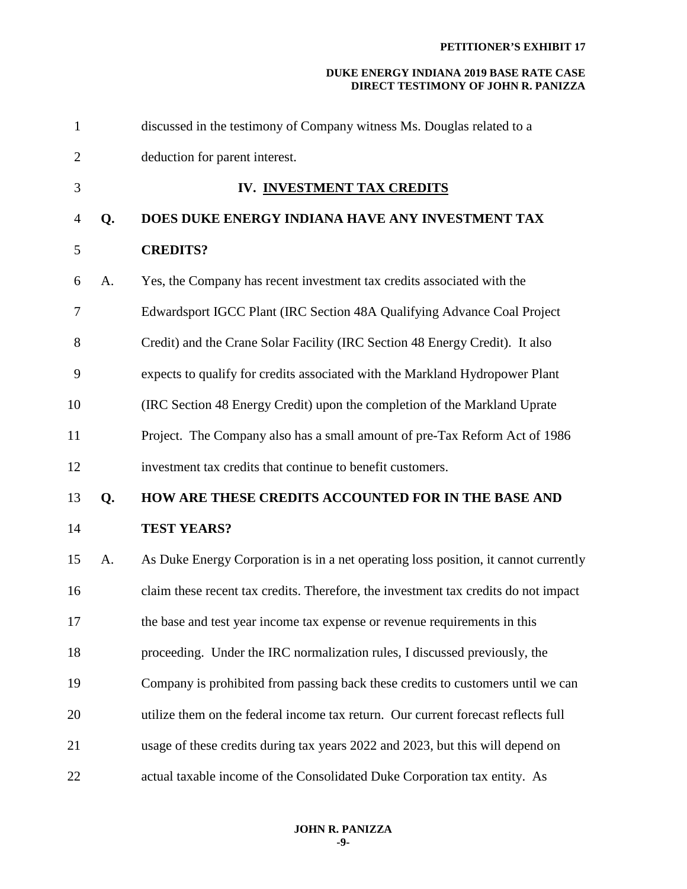| $\mathbf{1}$   |    | discussed in the testimony of Company witness Ms. Douglas related to a              |
|----------------|----|-------------------------------------------------------------------------------------|
| $\overline{2}$ |    | deduction for parent interest.                                                      |
| 3              |    | IV. INVESTMENT TAX CREDITS                                                          |
| 4              | Q. | DOES DUKE ENERGY INDIANA HAVE ANY INVESTMENT TAX                                    |
| 5              |    | <b>CREDITS?</b>                                                                     |
| 6              | A. | Yes, the Company has recent investment tax credits associated with the              |
| 7              |    | Edwardsport IGCC Plant (IRC Section 48A Qualifying Advance Coal Project             |
| 8              |    | Credit) and the Crane Solar Facility (IRC Section 48 Energy Credit). It also        |
| 9              |    | expects to qualify for credits associated with the Markland Hydropower Plant        |
| 10             |    | (IRC Section 48 Energy Credit) upon the completion of the Markland Uprate           |
| 11             |    | Project. The Company also has a small amount of pre-Tax Reform Act of 1986          |
| 12             |    | investment tax credits that continue to benefit customers.                          |
| 13             | Q. | HOW ARE THESE CREDITS ACCOUNTED FOR IN THE BASE AND                                 |
| 14             |    | <b>TEST YEARS?</b>                                                                  |
| 15             | А. | As Duke Energy Corporation is in a net operating loss position, it cannot currently |
| 16             |    | claim these recent tax credits. Therefore, the investment tax credits do not impact |
| 17             |    | the base and test year income tax expense or revenue requirements in this           |
| 18             |    | proceeding. Under the IRC normalization rules, I discussed previously, the          |
| 19             |    | Company is prohibited from passing back these credits to customers until we can     |
| 20             |    | utilize them on the federal income tax return. Our current forecast reflects full   |
| 21             |    | usage of these credits during tax years 2022 and 2023, but this will depend on      |
| 22             |    | actual taxable income of the Consolidated Duke Corporation tax entity. As           |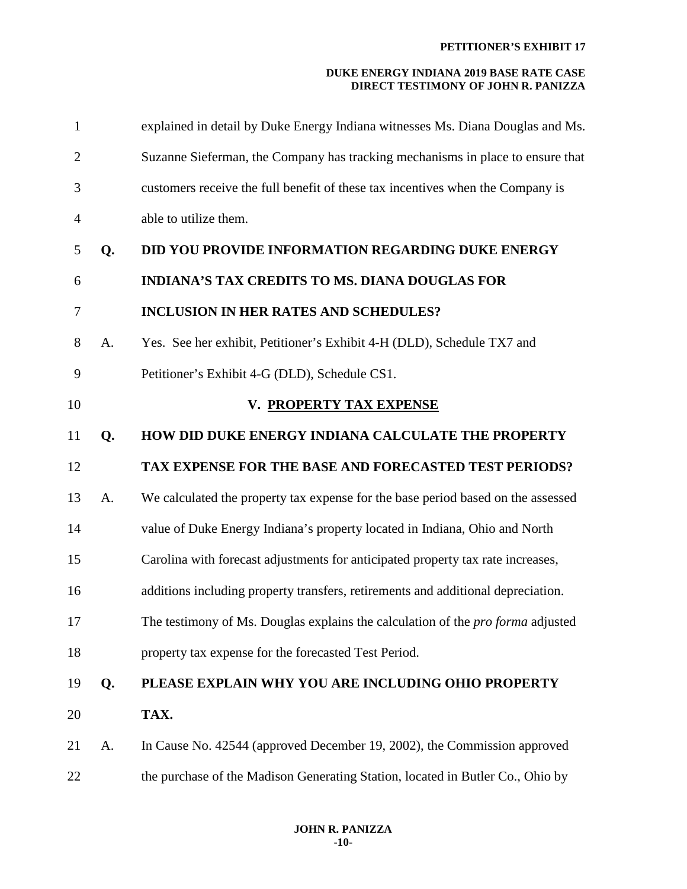| $\mathbf{1}$   |    | explained in detail by Duke Energy Indiana witnesses Ms. Diana Douglas and Ms.         |
|----------------|----|----------------------------------------------------------------------------------------|
| $\overline{2}$ |    | Suzanne Sieferman, the Company has tracking mechanisms in place to ensure that         |
| 3              |    | customers receive the full benefit of these tax incentives when the Company is         |
| $\overline{4}$ |    | able to utilize them.                                                                  |
| 5              | Q. | DID YOU PROVIDE INFORMATION REGARDING DUKE ENERGY                                      |
| 6              |    | <b>INDIANA'S TAX CREDITS TO MS. DIANA DOUGLAS FOR</b>                                  |
| 7              |    | <b>INCLUSION IN HER RATES AND SCHEDULES?</b>                                           |
| 8              | A. | Yes. See her exhibit, Petitioner's Exhibit 4-H (DLD), Schedule TX7 and                 |
| 9              |    | Petitioner's Exhibit 4-G (DLD), Schedule CS1.                                          |
| 10             |    | V. PROPERTY TAX EXPENSE                                                                |
| 11             | Q. | HOW DID DUKE ENERGY INDIANA CALCULATE THE PROPERTY                                     |
| 12             |    | <b>TAX EXPENSE FOR THE BASE AND FORECASTED TEST PERIODS?</b>                           |
| 13             | A. | We calculated the property tax expense for the base period based on the assessed       |
| 14             |    | value of Duke Energy Indiana's property located in Indiana, Ohio and North             |
| 15             |    | Carolina with forecast adjustments for anticipated property tax rate increases,        |
| 16             |    | additions including property transfers, retirements and additional depreciation.       |
| 17             |    | The testimony of Ms. Douglas explains the calculation of the <i>pro forma</i> adjusted |
| 18             |    |                                                                                        |
|                |    | property tax expense for the forecasted Test Period.                                   |
| 19             | Q. | PLEASE EXPLAIN WHY YOU ARE INCLUDING OHIO PROPERTY                                     |
| 20             |    | TAX.                                                                                   |
| 21             | A. | In Cause No. 42544 (approved December 19, 2002), the Commission approved               |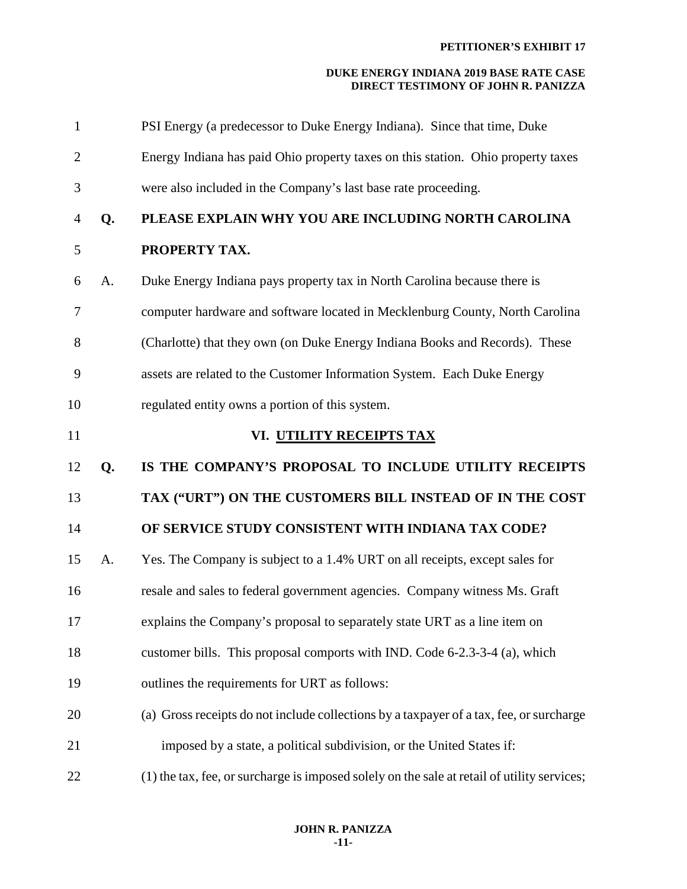| $\mathbf{1}$   |    | PSI Energy (a predecessor to Duke Energy Indiana). Since that time, Duke                |
|----------------|----|-----------------------------------------------------------------------------------------|
| $\overline{2}$ |    | Energy Indiana has paid Ohio property taxes on this station. Ohio property taxes        |
| 3              |    | were also included in the Company's last base rate proceeding.                          |
| $\overline{4}$ | Q. | PLEASE EXPLAIN WHY YOU ARE INCLUDING NORTH CAROLINA                                     |
| 5              |    | PROPERTY TAX.                                                                           |
| 6              | A. | Duke Energy Indiana pays property tax in North Carolina because there is                |
| 7              |    | computer hardware and software located in Mecklenburg County, North Carolina            |
| 8              |    | (Charlotte) that they own (on Duke Energy Indiana Books and Records). These             |
| 9              |    | assets are related to the Customer Information System. Each Duke Energy                 |
| 10             |    | regulated entity owns a portion of this system.                                         |
| 11             |    | VI. UTILITY RECEIPTS TAX                                                                |
|                |    |                                                                                         |
| 12             | Q. | IS THE COMPANY'S PROPOSAL TO INCLUDE UTILITY RECEIPTS                                   |
| 13             |    | TAX ("URT") ON THE CUSTOMERS BILL INSTEAD OF IN THE COST                                |
| 14             |    | OF SERVICE STUDY CONSISTENT WITH INDIANA TAX CODE?                                      |
| 15             | A. | Yes. The Company is subject to a 1.4% URT on all receipts, except sales for             |
| 16             |    | resale and sales to federal government agencies. Company witness Ms. Graft              |
| 17             |    | explains the Company's proposal to separately state URT as a line item on               |
| 18             |    | customer bills. This proposal comports with IND. Code 6-2.3-3-4 (a), which              |
| 19             |    | outlines the requirements for URT as follows:                                           |
| 20             |    | (a) Gross receipts do not include collections by a taxpayer of a tax, fee, or surcharge |
| 21             |    | imposed by a state, a political subdivision, or the United States if:                   |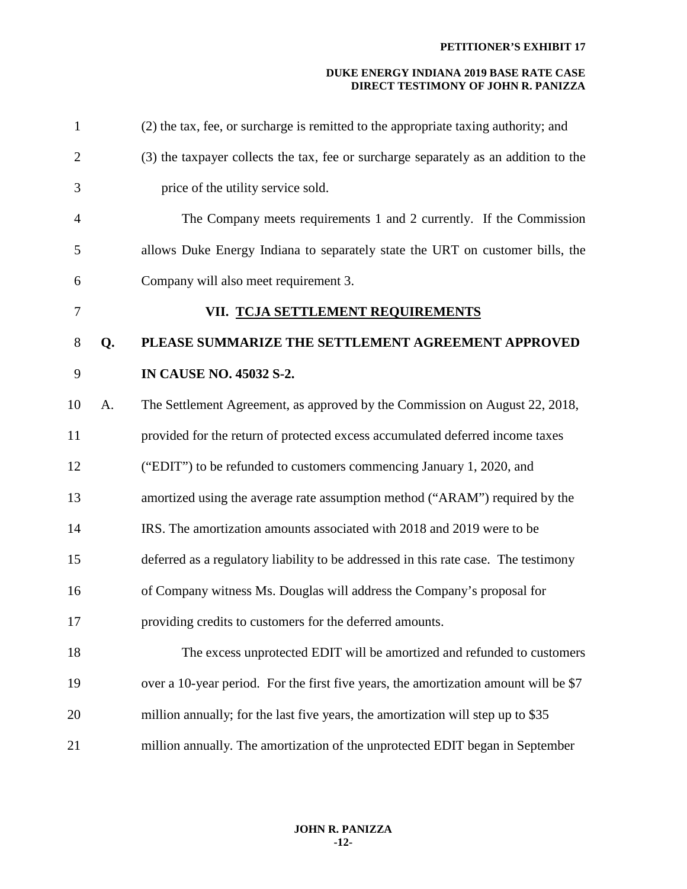| $\mathbf{1}$   |    | (2) the tax, fee, or surcharge is remitted to the appropriate taxing authority; and  |
|----------------|----|--------------------------------------------------------------------------------------|
| $\overline{2}$ |    | (3) the taxpayer collects the tax, fee or surcharge separately as an addition to the |
| 3              |    | price of the utility service sold.                                                   |
| 4              |    | The Company meets requirements 1 and 2 currently. If the Commission                  |
| 5              |    | allows Duke Energy Indiana to separately state the URT on customer bills, the        |
| 6              |    | Company will also meet requirement 3.                                                |
| 7              |    | VII. TCJA SETTLEMENT REQUIREMENTS                                                    |
| 8              | Q. | PLEASE SUMMARIZE THE SETTLEMENT AGREEMENT APPROVED                                   |
| 9              |    | <b>IN CAUSE NO. 45032 S-2.</b>                                                       |
| 10             | A. | The Settlement Agreement, as approved by the Commission on August 22, 2018,          |
| 11             |    | provided for the return of protected excess accumulated deferred income taxes        |
| 12             |    | ("EDIT") to be refunded to customers commencing January 1, 2020, and                 |
| 13             |    | amortized using the average rate assumption method ("ARAM") required by the          |
| 14             |    | IRS. The amortization amounts associated with 2018 and 2019 were to be               |
| 15             |    | deferred as a regulatory liability to be addressed in this rate case. The testimony  |
| 16             |    | of Company witness Ms. Douglas will address the Company's proposal for               |
| 17             |    | providing credits to customers for the deferred amounts.                             |
| 18             |    | The excess unprotected EDIT will be amortized and refunded to customers              |
| 19             |    | over a 10-year period. For the first five years, the amortization amount will be \$7 |
| 20             |    | million annually; for the last five years, the amortization will step up to \$35     |
| 21             |    | million annually. The amortization of the unprotected EDIT began in September        |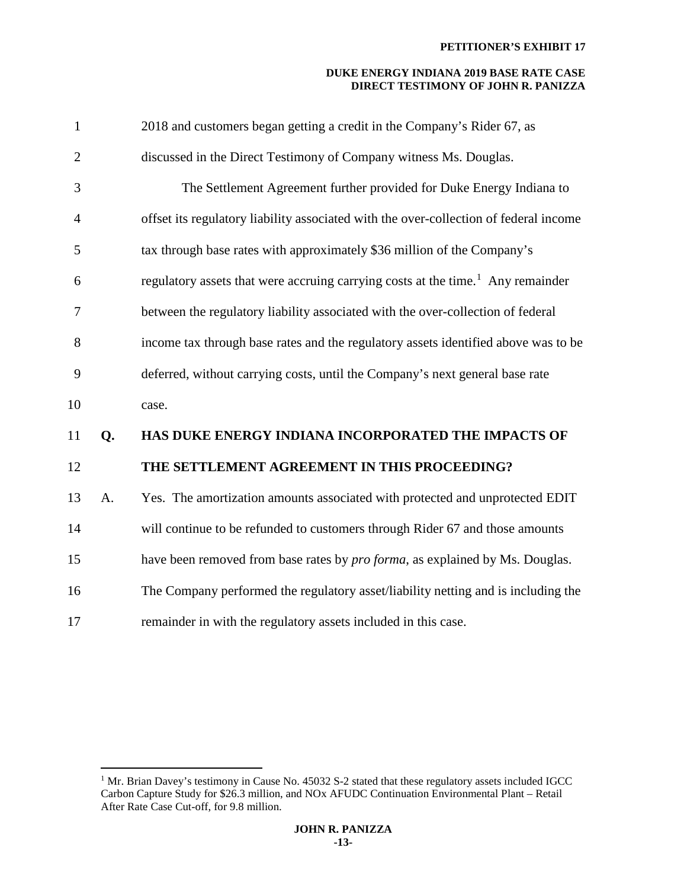| $\mathbf{1}$   |    | 2018 and customers began getting a credit in the Company's Rider 67, as                     |
|----------------|----|---------------------------------------------------------------------------------------------|
| $\overline{2}$ |    | discussed in the Direct Testimony of Company witness Ms. Douglas.                           |
| 3              |    | The Settlement Agreement further provided for Duke Energy Indiana to                        |
| 4              |    | offset its regulatory liability associated with the over-collection of federal income       |
| 5              |    | tax through base rates with approximately \$36 million of the Company's                     |
| 6              |    | regulatory assets that were accruing carrying costs at the time. <sup>1</sup> Any remainder |
| 7              |    | between the regulatory liability associated with the over-collection of federal             |
| 8              |    | income tax through base rates and the regulatory assets identified above was to be          |
| 9              |    | deferred, without carrying costs, until the Company's next general base rate                |
| 10             |    | case.                                                                                       |
| 11             | Q. | HAS DUKE ENERGY INDIANA INCORPORATED THE IMPACTS OF                                         |
| 12             |    | THE SETTLEMENT AGREEMENT IN THIS PROCEEDING?                                                |
| 13             | A. | Yes. The amortization amounts associated with protected and unprotected EDIT                |
| 14             |    | will continue to be refunded to customers through Rider 67 and those amounts                |
| 15             |    | have been removed from base rates by <i>pro forma</i> , as explained by Ms. Douglas.        |
| 16             |    | The Company performed the regulatory asset/liability netting and is including the           |
| 17             |    | remainder in with the regulatory assets included in this case.                              |
|                |    |                                                                                             |

 $\overline{a}$ 

<span id="page-13-0"></span><sup>&</sup>lt;sup>1</sup> Mr. Brian Davey's testimony in Cause No. 45032 S-2 stated that these regulatory assets included IGCC Carbon Capture Study for \$26.3 million, and NOx AFUDC Continuation Environmental Plant – Retail After Rate Case Cut-off, for 9.8 million.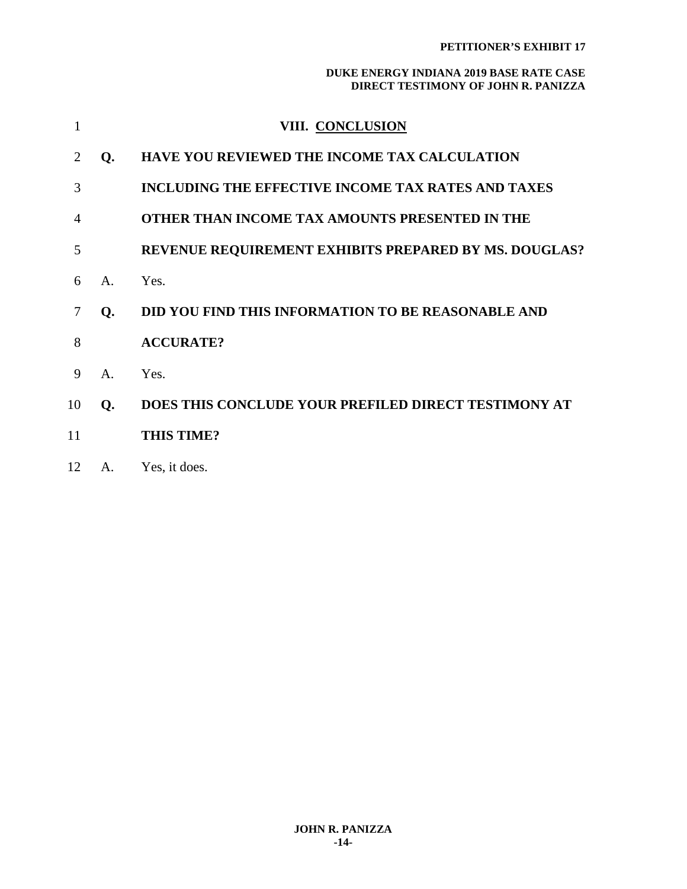|    |                | VIII. CONCLUSION                                             |
|----|----------------|--------------------------------------------------------------|
|    | Q.             | <b>HAVE YOU REVIEWED THE INCOME TAX CALCULATION</b>          |
| 3  |                | <b>INCLUDING THE EFFECTIVE INCOME TAX RATES AND TAXES</b>    |
| 4  |                | <b>OTHER THAN INCOME TAX AMOUNTS PRESENTED IN THE</b>        |
| 5  |                | <b>REVENUE REQUIREMENT EXHIBITS PREPARED BY MS. DOUGLAS?</b> |
| 6  | $\mathsf{A}$ . | Yes.                                                         |
|    | Q.             | <b>DID YOU FIND THIS INFORMATION TO BE REASONABLE AND</b>    |
| 8  |                | <b>ACCURATE?</b>                                             |
| 9  | A.             | Yes.                                                         |
| 10 | Q.             | DOES THIS CONCLUDE YOUR PREFILED DIRECT TESTIMONY AT         |
| 11 |                | <b>THIS TIME?</b>                                            |
|    |                |                                                              |

## 12 A. Yes, it does.